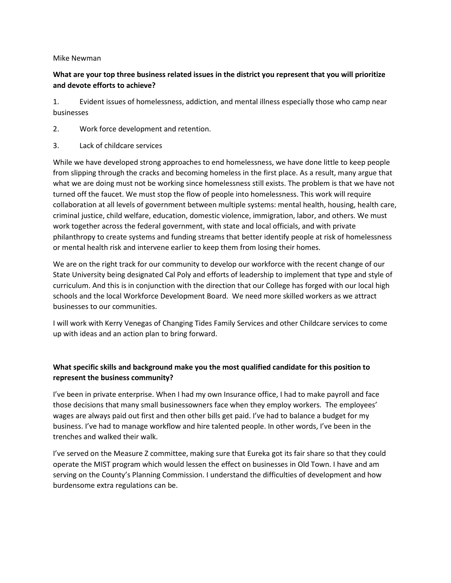## Mike Newman

## **What are your top three business related issues in the district you represent that you will prioritize and devote efforts to achieve?**

1. Evident issues of homelessness, addiction, and mental illness especially those who camp near businesses

- 2. Work force development and retention.
- 3. Lack of childcare services

While we have developed strong approaches to end homelessness, we have done little to keep people from slipping through the cracks and becoming homeless in the first place. As a result, many argue that what we are doing must not be working since homelessness still exists. The problem is that we have not turned off the faucet. We must stop the flow of people into homelessness. This work will require collaboration at all levels of government between multiple systems: mental health, housing, health care, criminal justice, child welfare, education, domestic violence, immigration, labor, and others. We must work together across the federal government, with state and local officials, and with private philanthropy to create systems and funding streams that better identify people at risk of homelessness or mental health risk and intervene earlier to keep them from losing their homes.

We are on the right track for our community to develop our workforce with the recent change of our State University being designated Cal Poly and efforts of leadership to implement that type and style of curriculum. And this is in conjunction with the direction that our College has forged with our local high schools and the local Workforce Development Board. We need more skilled workers as we attract businesses to our communities.

I will work with Kerry Venegas of Changing Tides Family Services and other Childcare services to come up with ideas and an action plan to bring forward.

## **What specific skills and background make you the most qualified candidate for this position to represent the business community?**

I've been in private enterprise. When I had my own Insurance office, I had to make payroll and face those decisions that many small businessowners face when they employ workers. The employees' wages are always paid out first and then other bills get paid. I've had to balance a budget for my business. I've had to manage workflow and hire talented people. In other words, I've been in the trenches and walked their walk.

I've served on the Measure Z committee, making sure that Eureka got its fair share so that they could operate the MIST program which would lessen the effect on businesses in Old Town. I have and am serving on the County's Planning Commission. I understand the difficulties of development and how burdensome extra regulations can be.